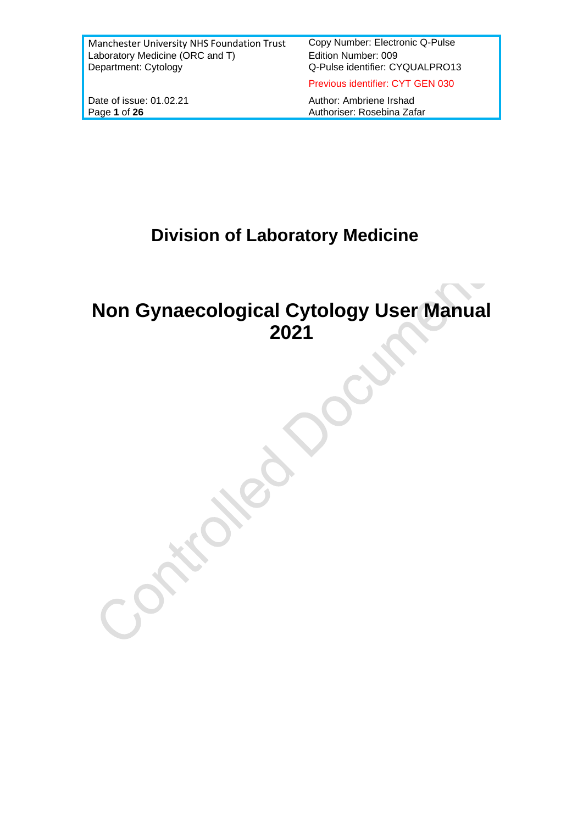Q-Pulse identifier: CYQUALPRO13

Previous identifier: CYT GEN 030

Date of issue: 01.02.21 Author: Ambriene Irshad<br>
Page 1 of 26 Authoriser: Rosebina Zaf Authoriser: Rosebina Zafar

# **Division of Laboratory Medicine**

# **Non Gynaecological Cytology User Manual 2021**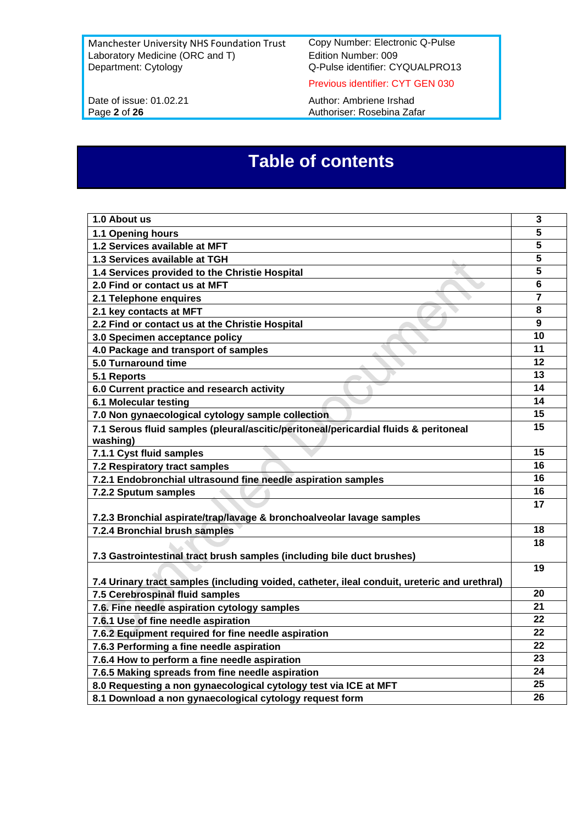Manchester University NHS Foundation Trust Copy Number: Electronic Q-Pulse<br>Laboratory Medicine (ORC and T) Edition Number: 009 Laboratory Medicine (ORC and T)<br>Department: Cytology

Q-Pulse identifier: CYQUALPRO13

Previous identifier: CYT GEN 030

Date of issue: 01.02.21 Author: Ambriene Irshad<br>Page 2 of 26 Authoriser: Rosebina Zafa Authoriser: Rosebina Zafar

# **Table of contents**

| 1.0 About us                                                                                     | $\mathbf{3}$            |
|--------------------------------------------------------------------------------------------------|-------------------------|
| 1.1 Opening hours                                                                                | 5                       |
| 1.2 Services available at MFT                                                                    | 5                       |
| 1.3 Services available at TGH                                                                    | $\overline{\mathbf{5}}$ |
| 1.4 Services provided to the Christie Hospital                                                   | 5                       |
| 2.0 Find or contact us at MFT                                                                    | $6\phantom{1}$          |
| 2.1 Telephone enquires                                                                           | $\overline{7}$          |
| 2.1 key contacts at MFT                                                                          | 8                       |
| 2.2 Find or contact us at the Christie Hospital                                                  | 9                       |
| 3.0 Specimen acceptance policy                                                                   | 10                      |
| 4.0 Package and transport of samples                                                             | 11                      |
| 5.0 Turnaround time                                                                              | 12                      |
| 5.1 Reports                                                                                      | 13                      |
| 6.0 Current practice and research activity                                                       | 14                      |
| 6.1 Molecular testing                                                                            | 14                      |
| 7.0 Non gynaecological cytology sample collection                                                | 15                      |
| 7.1 Serous fluid samples (pleural/ascitic/peritoneal/pericardial fluids & peritoneal<br>washing) | 15                      |
| 7.1.1 Cyst fluid samples                                                                         | 15                      |
| 7.2 Respiratory tract samples                                                                    | 16                      |
| 7.2.1 Endobronchial ultrasound fine needle aspiration samples                                    | 16                      |
| 7.2.2 Sputum samples                                                                             | 16                      |
|                                                                                                  | 17                      |
| 7.2.3 Bronchial aspirate/trap/lavage & bronchoalveolar lavage samples                            |                         |
| 7.2.4 Bronchial brush samples                                                                    | 18                      |
|                                                                                                  | 18                      |
| 7.3 Gastrointestinal tract brush samples (including bile duct brushes)                           |                         |
| 7.4 Urinary tract samples (including voided, catheter, ileal conduit, ureteric and urethral)     | 19                      |
| 7.5 Cerebrospinal fluid samples                                                                  | 20                      |
| 7.6. Fine needle aspiration cytology samples                                                     | 21                      |
| 7.6.1 Use of fine needle aspiration                                                              | 22                      |
| 7.6.2 Equipment required for fine needle aspiration                                              | 22                      |
| 7.6.3 Performing a fine needle aspiration                                                        | 22                      |
| 7.6.4 How to perform a fine needle aspiration                                                    | 23                      |
| 7.6.5 Making spreads from fine needle aspiration                                                 | 24                      |
| 8.0 Requesting a non gynaecological cytology test via ICE at MFT                                 | 25                      |
| 8.1 Download a non gynaecological cytology request form                                          | 26                      |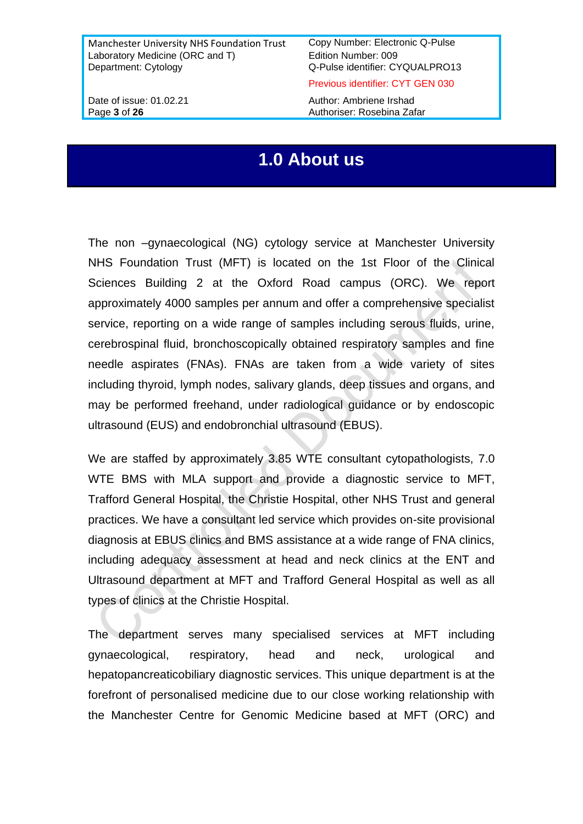Previous identifier: CYT GEN 030

Date of issue: 01.02.21 Author: Ambriene Irshad Page 3 of 26 **Authoriser:** Rosebina Zafar

## **1.0 About us**

The non –gynaecological (NG) cytology service at Manchester University NHS Foundation Trust (MFT) is located on the 1st Floor of the Clinical Sciences Building 2 at the Oxford Road campus (ORC). We report approximately 4000 samples per annum and offer a comprehensive specialist service, reporting on a wide range of samples including serous fluids, urine, cerebrospinal fluid, bronchoscopically obtained respiratory samples and fine needle aspirates (FNAs). FNAs are taken from a wide variety of sites including thyroid, lymph nodes, salivary glands, deep tissues and organs, and may be performed freehand, under radiological guidance or by endoscopic ultrasound (EUS) and endobronchial ultrasound (EBUS).

We are staffed by approximately 3.85 WTE consultant cytopathologists, 7.0 WTE BMS with MLA support and provide a diagnostic service to MFT, Trafford General Hospital, the Christie Hospital, other NHS Trust and general practices. We have a consultant led service which provides on-site provisional diagnosis at EBUS clinics and BMS assistance at a wide range of FNA clinics, including adequacy assessment at head and neck clinics at the ENT and Ultrasound department at MFT and Trafford General Hospital as well as all types of clinics at the Christie Hospital.

The department serves many specialised services at MFT including gynaecological, respiratory, head and neck, urological and hepatopancreaticobiliary diagnostic services. This unique department is at the forefront of personalised medicine due to our close working relationship with the Manchester Centre for Genomic Medicine based at MFT (ORC) and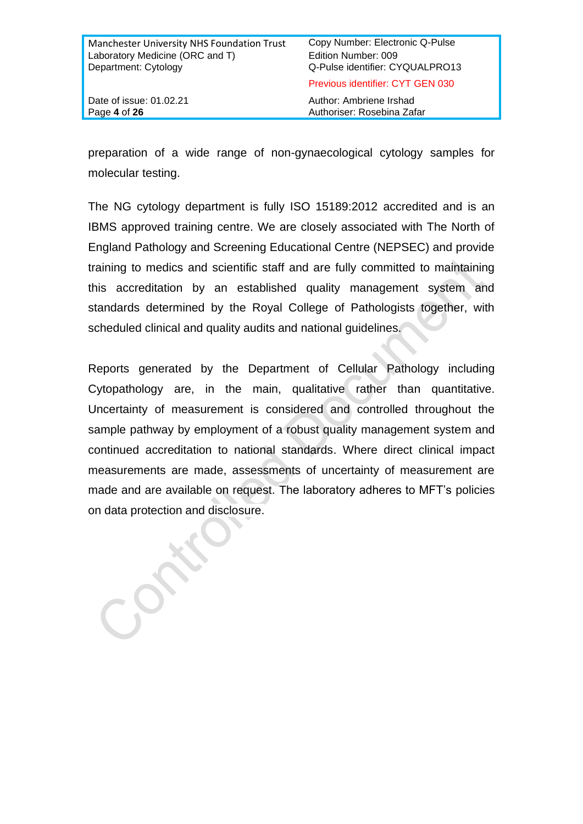| Manchester University NHS Foundation Trust | Copy Number: Electronic Q-Pulse  |
|--------------------------------------------|----------------------------------|
| Laboratory Medicine (ORC and T)            | Edition Number: 009              |
| Department: Cytology                       | Q-Pulse identifier: CYQUALPRO13  |
|                                            | Previous identifier: CYT GEN 030 |
| Date of issue: 01.02.21                    | Author: Ambriene Irshad          |
| Page 4 of 26                               | Authoriser: Rosebina Zafar       |

preparation of a wide range of non-gynaecological cytology samples for molecular testing.

The NG cytology department is fully ISO 15189:2012 accredited and is an IBMS approved training centre. We are closely associated with The North of England Pathology and Screening Educational Centre (NEPSEC) and provide training to medics and scientific staff and are fully committed to maintaining this accreditation by an established quality management system and standards determined by the Royal College of Pathologists together, with scheduled clinical and quality audits and national quidelines.

Reports generated by the Department of Cellular Pathology including Cytopathology are, in the main, qualitative rather than quantitative. Uncertainty of measurement is considered and controlled throughout the sample pathway by employment of a robust quality management system and continued accreditation to national standards. Where direct clinical impact measurements are made, assessments of uncertainty of measurement are made and are available on request. The laboratory adheres to MFT's policies on data protection and disclosure.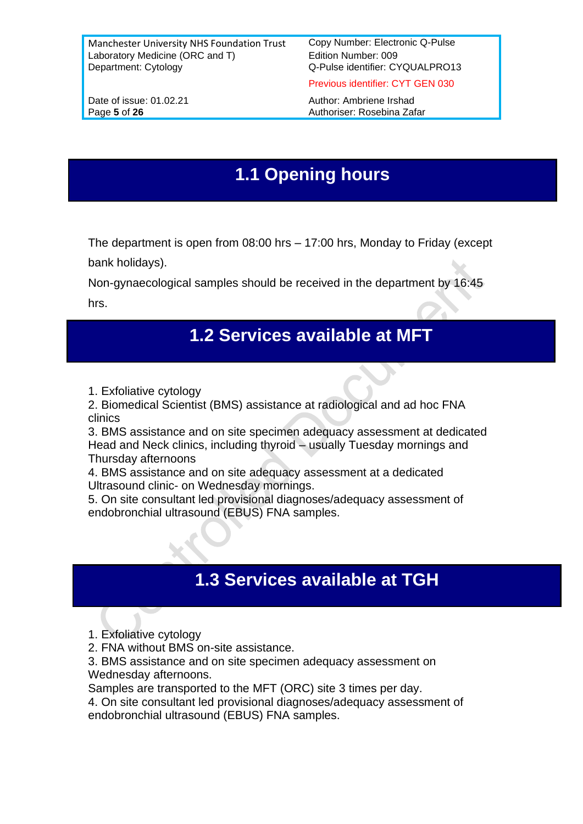Previous identifier: CYT GEN 030

Date of issue: 01.02.21 Author: Ambriene Irshad Page 5 of 26 **Authoriser:** Rosebina Zafar

## **1.1 Opening hours**

The department is open from 08:00 hrs – 17:00 hrs, Monday to Friday (except bank holidays).

Non-gynaecological samples should be received in the department by 16:45 hrs.

## **1.2 Services available at MFT**

1. Exfoliative cytology

2. Biomedical Scientist (BMS) assistance at radiological and ad hoc FNA clinics

3. BMS assistance and on site specimen adequacy assessment at dedicated Head and Neck clinics, including thyroid – usually Tuesday mornings and Thursday afternoons

4. BMS assistance and on site adequacy assessment at a dedicated Ultrasound clinic- on Wednesday mornings.

5. On site consultant led provisional diagnoses/adequacy assessment of endobronchial ultrasound (EBUS) FNA samples.

# **1.3 Services available at TGH**

- 1. Exfoliative cytology
- 2. FNA without BMS on-site assistance.
- 3. BMS assistance and on site specimen adequacy assessment on Wednesday afternoons.

Samples are transported to the MFT (ORC) site 3 times per day.

4. On site consultant led provisional diagnoses/adequacy assessment of endobronchial ultrasound (EBUS) FNA samples.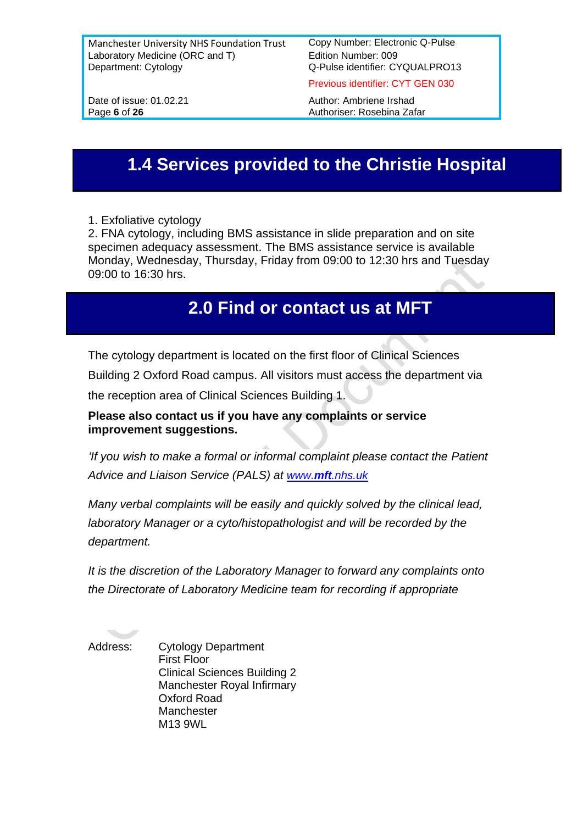Previous identifier: CYT GEN 030

Date of issue: 01.02.21 Author: Ambriene Irshad Page 6 of 26 **Authoriser:** Rosebina Zafar

## **1.4 Services provided to the Christie Hospital**

1. Exfoliative cytology

2. FNA cytology, including BMS assistance in slide preparation and on site specimen adequacy assessment. The BMS assistance service is available Monday, Wednesday, Thursday, Friday from 09:00 to 12:30 hrs and Tuesday 09:00 to 16:30 hrs.

## **2.0 Find or contact us at MFT**

The cytology department is located on the first floor of Clinical Sciences

Building 2 Oxford Road campus. All visitors must access the department via

the reception area of Clinical Sciences Building 1.

**Please also contact us if you have any complaints or service improvement suggestions.**

*If you wish to make a formal or informal complaint please contact the Patient Advice and Liaison Service (PALS) at www.mft[.nhs.uk](http://www.mft.nhs.uk/)*

*Many verbal complaints will be easily and quickly solved by the clinical lead, laboratory Manager or a cyto/histopathologist and will be recorded by the department.*

*It is the discretion of the Laboratory Manager to forward any complaints onto the Directorate of Laboratory Medicine team for recording if appropriate*

Address: Cytology Department First Floor Clinical Sciences Building 2 Manchester Royal Infirmary Oxford Road Manchester M13 9WL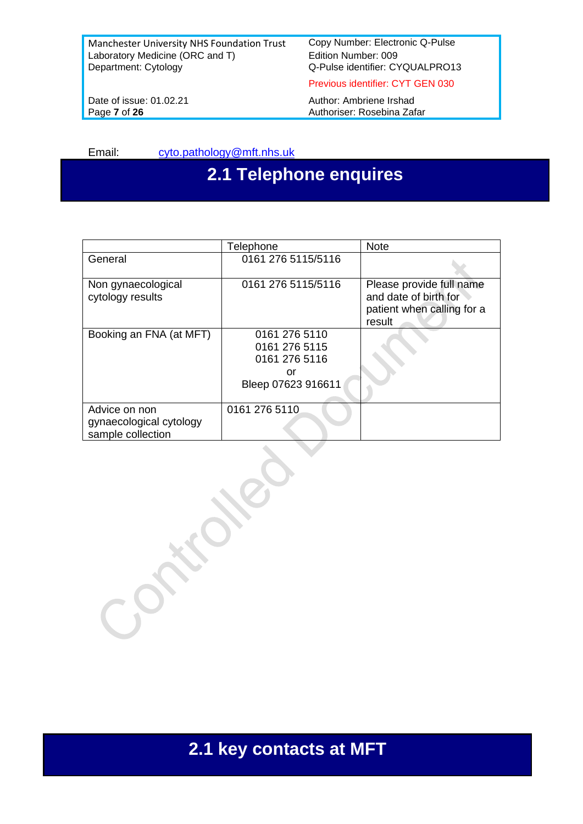Q-Pulse identifier: CYQUALPRO13

Previous identifier: CYT GEN 030

Date of issue: 01.02.21 Author: Ambriene Irshad<br>Page 7 of 26 Authoriser: Rosebina Zaf Authoriser: Rosebina Zafar

Email: [cyto.pathology@mft.nhs.uk](mailto:cyto.pathology@mft.nhs.uk)

# **2.1 Telephone enquires**

|                                                               | Telephone                                                                   | <b>Note</b>                                                                               |
|---------------------------------------------------------------|-----------------------------------------------------------------------------|-------------------------------------------------------------------------------------------|
| General                                                       | 0161 276 5115/5116                                                          |                                                                                           |
| Non gynaecological<br>cytology results                        | 0161 276 5115/5116                                                          | Please provide full name<br>and date of birth for<br>patient when calling for a<br>result |
| Booking an FNA (at MFT)                                       | 0161 276 5110<br>0161 276 5115<br>0161 276 5116<br>or<br>Bleep 07623 916611 |                                                                                           |
| Advice on non<br>gynaecological cytology<br>sample collection | 0161 276 5110                                                               |                                                                                           |

**2.1 key contacts at MFT**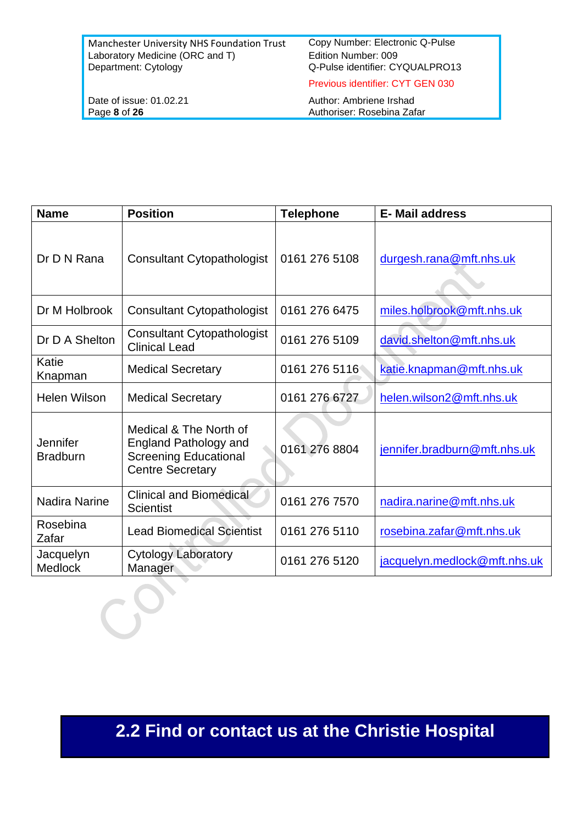Q-Pulse identifier: CYQUALPRO13

Previous identifier: CYT GEN 030

Date of issue: 01.02.21 Author: Ambriene Irshad<br>Page 8 of 26 Authoriser: Rosebina Zaf Page **8** of **26** Authoriser: Rosebina Zafar

| <b>Name</b>                 | <b>Position</b>                                                                                            | <b>Telephone</b> | <b>E-Mail address</b>        |
|-----------------------------|------------------------------------------------------------------------------------------------------------|------------------|------------------------------|
| Dr D N Rana                 | <b>Consultant Cytopathologist</b>                                                                          | 0161 276 5108    | durgesh.rana@mft.nhs.uk      |
| Dr M Holbrook               | <b>Consultant Cytopathologist</b>                                                                          | 0161 276 6475    | miles.holbrook@mft.nhs.uk    |
| Dr D A Shelton              | <b>Consultant Cytopathologist</b><br><b>Clinical Lead</b>                                                  | 0161 276 5109    | david.shelton@mft.nhs.uk     |
| Katie<br>Knapman            | <b>Medical Secretary</b>                                                                                   | 0161 276 5116    | katie.knapman@mft.nhs.uk     |
| <b>Helen Wilson</b>         | <b>Medical Secretary</b>                                                                                   | 0161 276 6727    | helen.wilson2@mft.nhs.uk     |
| Jennifer<br><b>Bradburn</b> | Medical & The North of<br>England Pathology and<br><b>Screening Educational</b><br><b>Centre Secretary</b> | 0161 276 8804    | jennifer.bradburn@mft.nhs.uk |
| Nadira Narine               | <b>Clinical and Biomedical</b><br>Scientist                                                                | 0161 276 7570    | nadira.narine@mft.nhs.uk     |
| Rosebina<br>Zafar           | <b>Lead Biomedical Scientist</b>                                                                           | 0161 276 5110    | rosebina.zafar@mft.nhs.uk    |
| Jacquelyn<br><b>Medlock</b> | <b>Cytology Laboratory</b><br>Manager                                                                      | 0161 276 5120    | jacquelyn.medlock@mft.nhs.uk |

**2.2 Find or contact us at the Christie Hospital**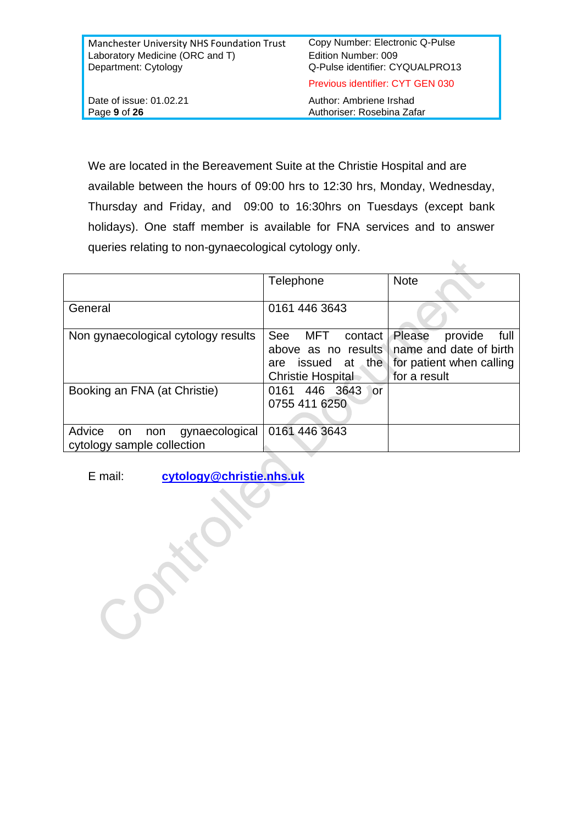| Manchester University NHS Foundation Trust | Copy Number: Electronic Q-Pulse  |
|--------------------------------------------|----------------------------------|
| Laboratory Medicine (ORC and T)            | Edition Number: 009              |
| Department: Cytology                       | Q-Pulse identifier: CYQUALPRO13  |
|                                            | Previous identifier: CYT GEN 030 |
| Date of issue: 01.02.21                    | Author: Ambriene Irshad          |
| Page 9 of 26                               | Authoriser: Rosebina Zafar       |

We are located in the Bereavement Suite at the Christie Hospital and are available between the hours of 09:00 hrs to 12:30 hrs, Monday, Wednesday, Thursday and Friday, and 09:00 to 16:30hrs on Tuesdays (except bank holidays). One staff member is available for FNA services and to answer queries relating to non-gynaecological cytology only.

|                                                                     | Telephone                                                                                        | <b>Note</b>                                                                                     |
|---------------------------------------------------------------------|--------------------------------------------------------------------------------------------------|-------------------------------------------------------------------------------------------------|
| General                                                             | 0161 446 3643                                                                                    |                                                                                                 |
| Non gynaecological cytology results                                 | See<br>MFT<br>contact<br>above as no results<br>issued at the<br>are<br><b>Christie Hospital</b> | Please<br>provide<br>full<br>name and date of birth<br>for patient when calling<br>for a result |
| Booking an FNA (at Christie)                                        | 446 3643<br>0161<br>or<br>0755 411 6250                                                          |                                                                                                 |
| Advice<br>gynaecological<br>non<br>on<br>cytology sample collection | 0161 446 3643                                                                                    |                                                                                                 |

E mail: **[cytology@christie.nhs.uk](mailto:cytology@christie.nhs.uk)**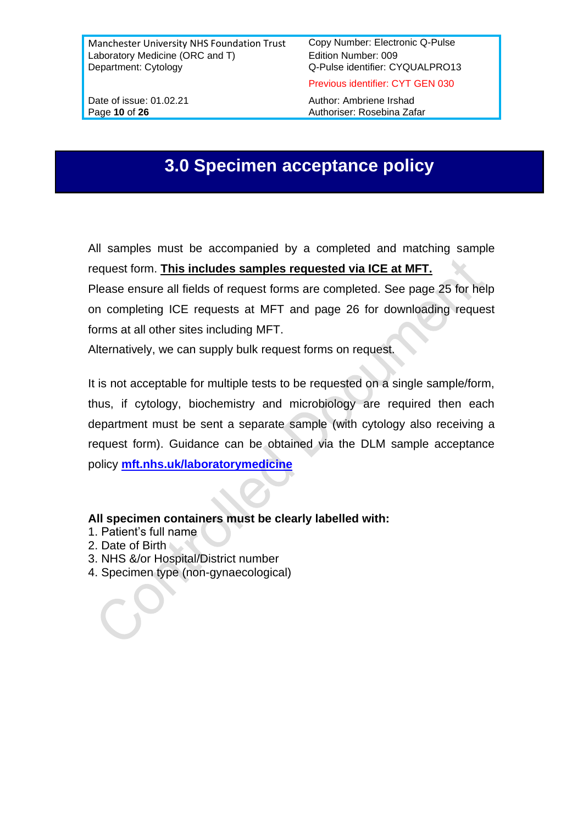Previous identifier: CYT GEN 030

Date of issue: 01.02.21 Author: Ambriene Irshad Page 10 of 26 **Authoriser:** Rosebina Zafar

## **3.0 Specimen acceptance policy**

All samples must be accompanied by a completed and matching sample request form. **This includes samples requested via ICE at MFT.**

Please ensure all fields of request forms are completed. See page 25 for help on completing ICE requests at MFT and page 26 for downloading request forms at all other sites including MFT.

Alternatively, we can supply bulk request forms on request.

It is not acceptable for multiple tests to be requested on a single sample/form, thus, if cytology, biochemistry and microbiology are required then each department must be sent a separate sample (with cytology also receiving a request form). Guidance can be obtained via the DLM sample acceptance policy **[mft.nhs.uk/laboratorymedicine](http://www.mft.nhs.uk/laboratorymedicine)**

#### **All specimen containers must be clearly labelled with:**

- 1. Patient's full name
- 2. Date of Birth
- 3. NHS &/or Hospital/District number
- 4. Specimen type (non-gynaecological)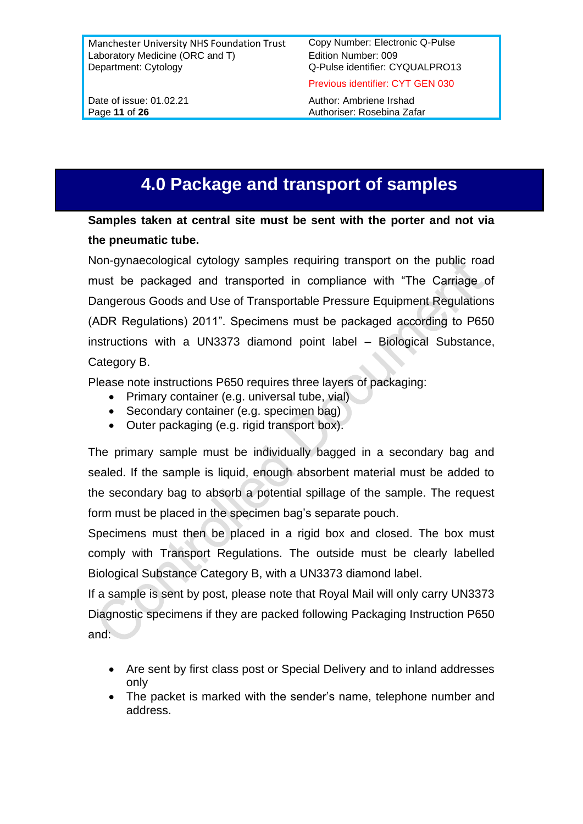Previous identifier: CYT GEN 030

Date of issue: 01.02.21 Author: Ambriene Irshad Page 11 of 26 **Authoriser:** Rosebina Zafar

# **4.0 Package and transport of samples**

**Samples taken at central site must be sent with the porter and not via the pneumatic tube.**

Non-gynaecological cytology samples requiring transport on the public road must be packaged and transported in compliance with "The Carriage of Dangerous Goods and Use of Transportable Pressure Equipment Regulations (ADR Regulations) 2011". Specimens must be packaged according to P650 instructions with a UN3373 diamond point label – Biological Substance, Category B.

Please note instructions P650 requires three layers of packaging:

- Primary container (e.g. universal tube, vial)
- Secondary container (e.g. specimen bag)
- Outer packaging (e.g. rigid transport box).

The primary sample must be individually bagged in a secondary bag and sealed. If the sample is liquid, enough absorbent material must be added to the secondary bag to absorb a potential spillage of the sample. The request form must be placed in the specimen bag's separate pouch.

Specimens must then be placed in a rigid box and closed. The box must comply with Transport Regulations. The outside must be clearly labelled Biological Substance Category B, with a UN3373 diamond label.

If a sample is sent by post, please note that Royal Mail will only carry UN3373 Diagnostic specimens if they are packed following Packaging Instruction P650 and:

- Are sent by first class post or Special Delivery and to inland addresses only
- The packet is marked with the sender's name, telephone number and address.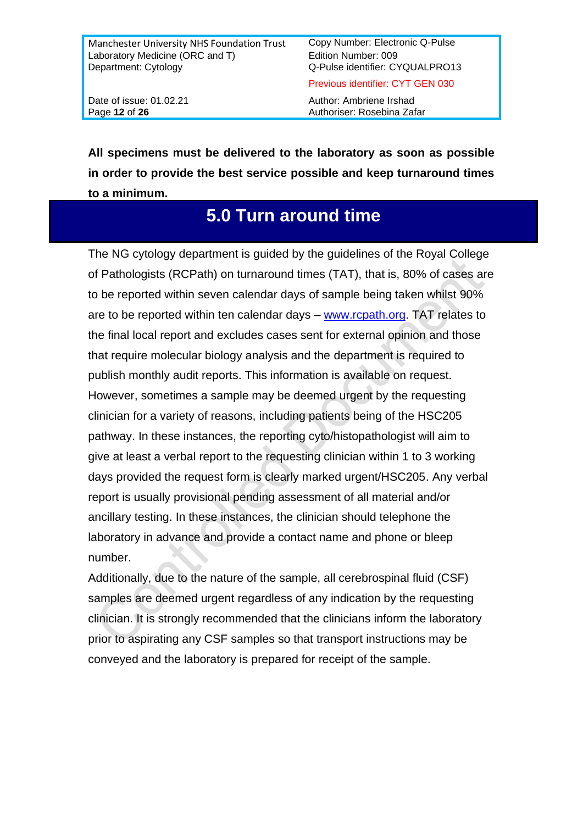Previous identifier: CYT GEN 030

Date of issue: 01.02.21 Author: Ambriene Irshad Page 12 of 26 **Authoriser:** Rosebina Zafar

**All specimens must be delivered to the laboratory as soon as possible in order to provide the best service possible and keep turnaround times to a minimum.**

## **5.0 Turn around time**

The NG cytology department is guided by the guidelines of the Royal College of Pathologists (RCPath) on turnaround times (TAT), that is, 80% of cases are to be reported within seven calendar days of sample being taken whilst 90% are to be reported within ten calendar days – [www.rcpath.org.](http://www.rcpath.org/) TAT relates to the final local report and excludes cases sent for external opinion and those that require molecular biology analysis and the department is required to publish monthly audit reports. This information is available on request. However, sometimes a sample may be deemed urgent by the requesting clinician for a variety of reasons, including patients being of the HSC205 pathway. In these instances, the reporting cyto/histopathologist will aim to give at least a verbal report to the requesting clinician within 1 to 3 working days provided the request form is clearly marked urgent/HSC205. Any verbal report is usually provisional pending assessment of all material and/or ancillary testing. In these instances, the clinician should telephone the laboratory in advance and provide a contact name and phone or bleep number.

Additionally, due to the nature of the sample, all cerebrospinal fluid (CSF) samples are deemed urgent regardless of any indication by the requesting clinician. It is strongly recommended that the clinicians inform the laboratory prior to aspirating any CSF samples so that transport instructions may be conveyed and the laboratory is prepared for receipt of the sample.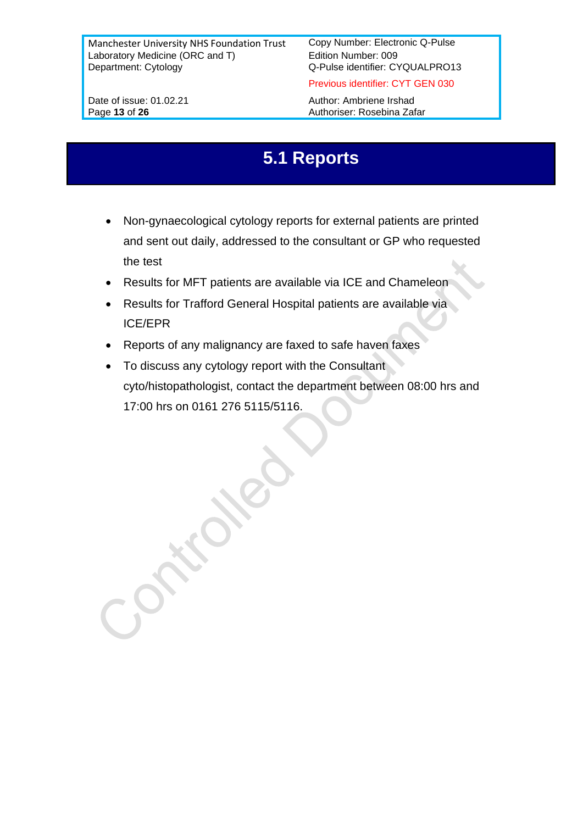Date of issue: 01.02.21 Author: Ambriene Irshad

Previous identifier: CYT GEN 030

Page 13 of 26 Authoriser: Rosebina Zafar

## **5.1 Reports**

- Non-gynaecological cytology reports for external patients are printed and sent out daily, addressed to the consultant or GP who requested the test
- Results for MFT patients are available via ICE and Chameleon
- Results for Trafford General Hospital patients are available via ICE/EPR
- Reports of any malignancy are faxed to safe haven faxes
- To discuss any cytology report with the Consultant cyto/histopathologist, contact the department between 08:00 hrs and 17:00 hrs on 0161 276 5115/5116.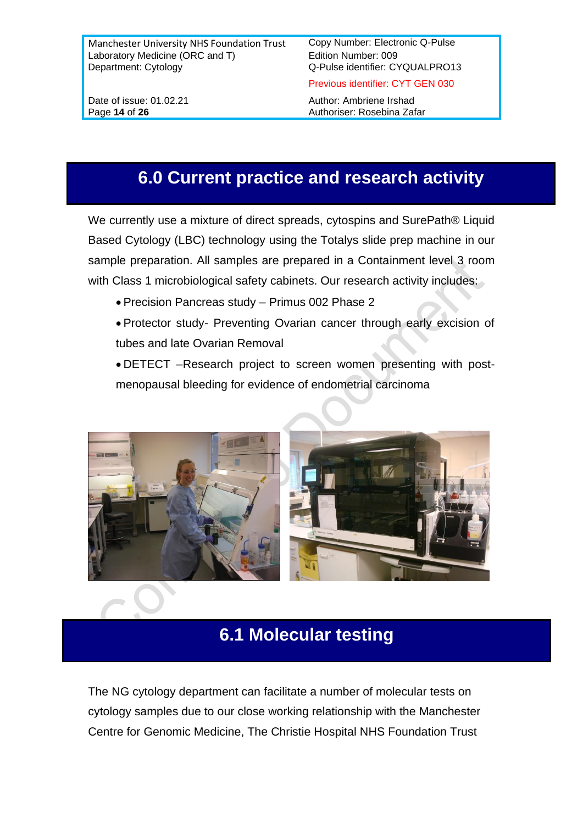Date of issue: 01.02.21 Author: Ambriene Irshad

Page 14 of 26 **Page 14** of 26 **Authoriser:** Rosebina Zafar

Previous identifier: CYT GEN 030

## **6.0 Current practice and research activity**

We currently use a mixture of direct spreads, cytospins and SurePath® Liquid Based Cytology (LBC) technology using the Totalys slide prep machine in our sample preparation. All samples are prepared in a Containment level 3 room with Class 1 microbiological safety cabinets. Our research activity includes:

- Precision Pancreas study Primus 002 Phase 2
- Protector study- Preventing Ovarian cancer through early excision of tubes and late Ovarian Removal

• DETECT –Research project to screen women presenting with postmenopausal bleeding for evidence of endometrial carcinoma



## **6.1 Molecular testing**

The NG cytology department can facilitate a number of molecular tests on cytology samples due to our close working relationship with the Manchester Centre for Genomic Medicine, The Christie Hospital NHS Foundation Trust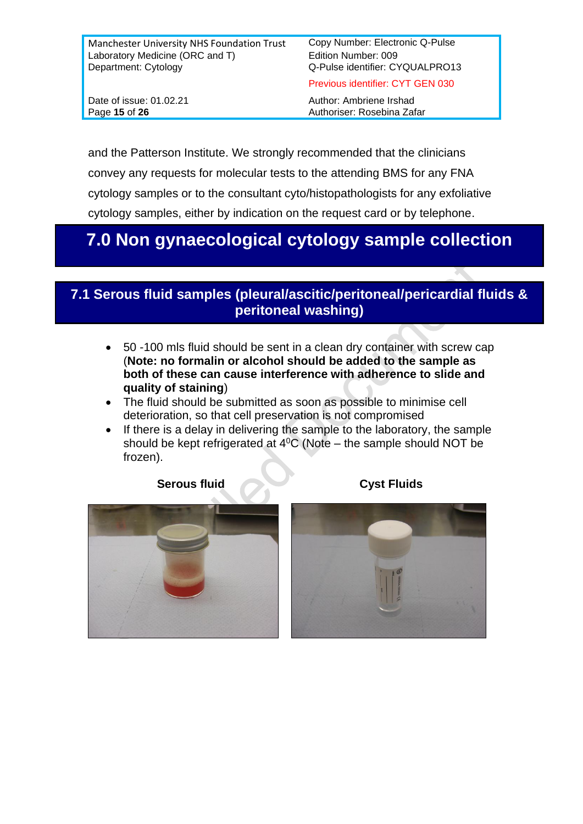Previous identifier: CYT GEN 030

Date of issue: 01.02.21 Author: Ambriene Irshad Page 15 of 26 **Authoriser:** Rosebina Zafar

and the Patterson Institute. We strongly recommended that the clinicians convey any requests for molecular tests to the attending BMS for any FNA cytology samples or to the consultant cyto/histopathologists for any exfoliative cytology samples, either by indication on the request card or by telephone.

## **7.0 Non gynaecological cytology sample collection**

## **7.1 Serous fluid samples (pleural/ascitic/peritoneal/pericardial fluids & peritoneal washing)**

- 50 -100 mls fluid should be sent in a clean dry container with screw cap (**Note: no formalin or alcohol should be added to the sample as both of these can cause interference with adherence to slide and quality of staining**)
- The fluid should be submitted as soon as possible to minimise cell deterioration, so that cell preservation is not compromised
- If there is a delay in delivering the sample to the laboratory, the sample should be kept refrigerated at  $4^{\circ}$ C (Note – the sample should NOT be frozen).



#### **Serous fluid Cyst Fluids**

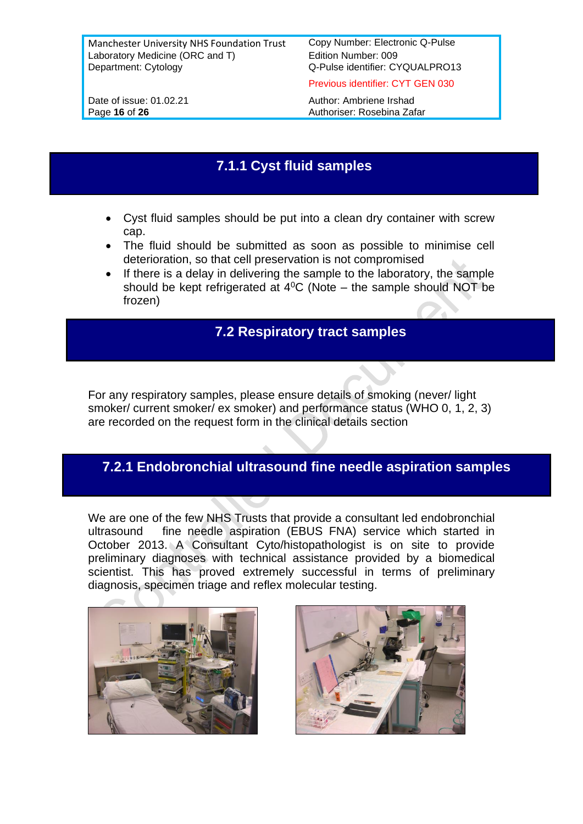Previous identifier: CYT GEN 030

Date of issue: 01.02.21 Author: Ambriene Irshad Page 16 of 26 **Authoriser:** Rosebina Zafar

## **7.1.1 Cyst fluid samples**

- Cyst fluid samples should be put into a clean dry container with screw cap.
- The fluid should be submitted as soon as possible to minimise cell deterioration, so that cell preservation is not compromised
- If there is a delay in delivering the sample to the laboratory, the sample should be kept refrigerated at  $4^{\circ}$ C (Note – the sample should NOT be frozen)

#### **7.2 Respiratory tract samples**

For any respiratory samples, please ensure details of smoking (never/ light smoker/ current smoker/ ex smoker) and performance status (WHO 0, 1, 2, 3) are recorded on the request form in the clinical details section

### **7.2.1 Endobronchial ultrasound fine needle aspiration samples**

We are one of the few NHS Trusts that provide a consultant led endobronchial ultrasound fine needle aspiration (EBUS FNA) service which started in October 2013. A Consultant Cyto/histopathologist is on site to provide preliminary diagnoses with technical assistance provided by a biomedical scientist. This has proved extremely successful in terms of preliminary diagnosis, specimen triage and reflex molecular testing.



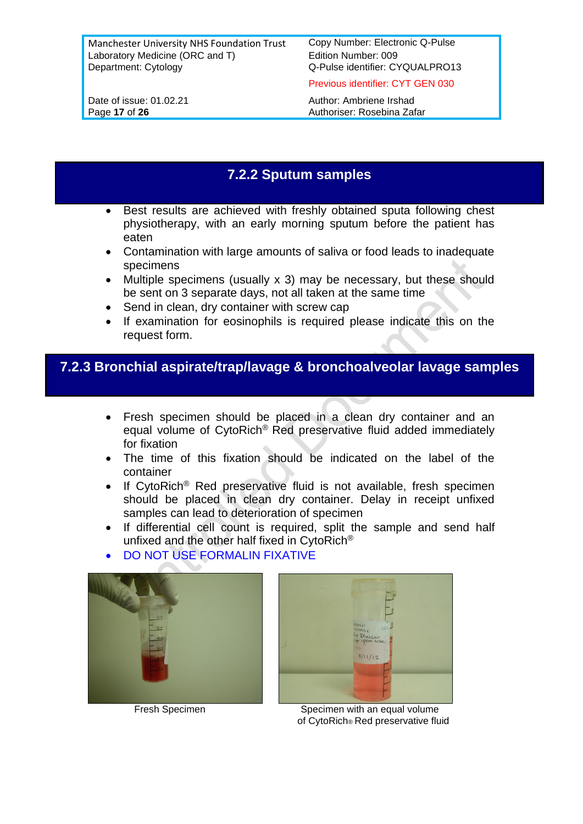Previous identifier: CYT GEN 030

Date of issue: 01.02.21 Author: Ambriene Irshad Page 17 of 26 **Authoriser:** Rosebina Zafar

#### **7.2.2 Sputum samples**

- Best results are achieved with freshly obtained sputa following chest physiotherapy, with an early morning sputum before the patient has eaten
- Contamination with large amounts of saliva or food leads to inadequate specimens
- Multiple specimens (usually x 3) may be necessary, but these should be sent on 3 separate days, not all taken at the same time
- Send in clean, dry container with screw cap
- If examination for eosinophils is required please indicate this on the request form.

### **7.2.3 Bronchial aspirate/trap/lavage & bronchoalveolar lavage samples**

- Fresh specimen should be placed in a clean dry container and an equal volume of CytoRich® Red preservative fluid added immediately for fixation
- The time of this fixation should be indicated on the label of the container
- If CytoRich<sup>®</sup> Red preservative fluid is not available, fresh specimen should be placed in clean dry container. Delay in receipt unfixed samples can lead to deterioration of specimen
- If differential cell count is required, split the sample and send half unfixed and the other half fixed in CytoRich®

 $\parallel$ 

• DO NOT USE FORMALIN FIXATIVE





Fresh Specimen Specimen Specimen with an equal volume of CytoRich® Red preservative fluid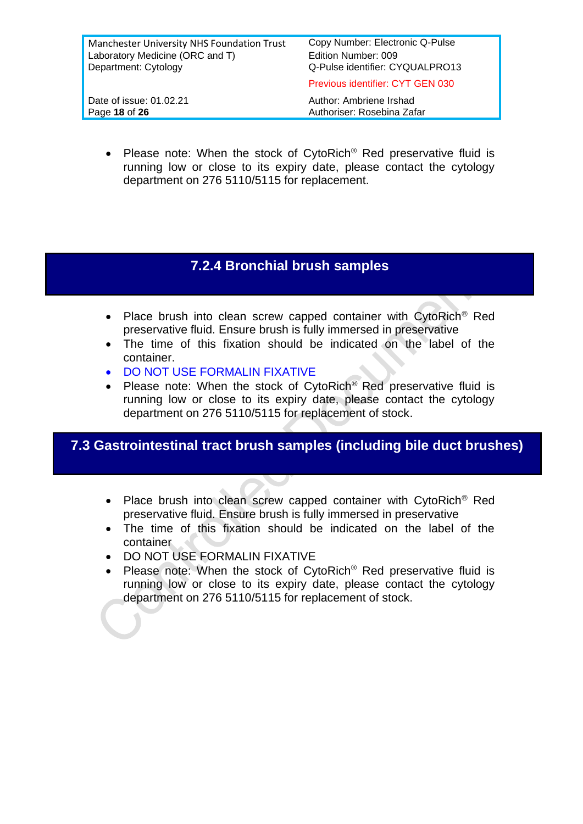| Manchester University NHS Foundation Trust<br>Laboratory Medicine (ORC and T)<br>Department: Cytology | Copy Number: Electronic Q-Pulse<br>Edition Number: 009<br>Q-Pulse identifier: CYQUALPRO13 |
|-------------------------------------------------------------------------------------------------------|-------------------------------------------------------------------------------------------|
|                                                                                                       | Previous identifier: CYT GEN 030                                                          |
| Date of issue: 01.02.21<br>Page 18 of 26                                                              | Author: Ambriene Irshad<br>Authoriser: Rosebina Zafar                                     |
|                                                                                                       |                                                                                           |

• Please note: When the stock of CytoRich® Red preservative fluid is running low or close to its expiry date, please contact the cytology department on 276 5110/5115 for replacement.

## **7.2.4 Bronchial brush samples**

- Place brush into clean screw capped container with CytoRich<sup>®</sup> Red preservative fluid. Ensure brush is fully immersed in preservative
- The time of this fixation should be indicated on the label of the container.
- DO NOT USE FORMALIN FIXATIVE
- Please note: When the stock of CytoRich® Red preservative fluid is running low or close to its expiry date, please contact the cytology department on 276 5110/5115 for replacement of stock.

#### **7.3 Gastrointestinal tract brush samples (including bile duct brushes)**

- Place brush into clean screw capped container with CytoRich<sup>®</sup> Red preservative fluid. Ensure brush is fully immersed in preservative
- The time of this fixation should be indicated on the label of the container
- DO NOT USE FORMALIN FIXATIVE
- Please note: When the stock of CytoRich<sup>®</sup> Red preservative fluid is running low or close to its expiry date, please contact the cytology department on 276 5110/5115 for replacement of stock.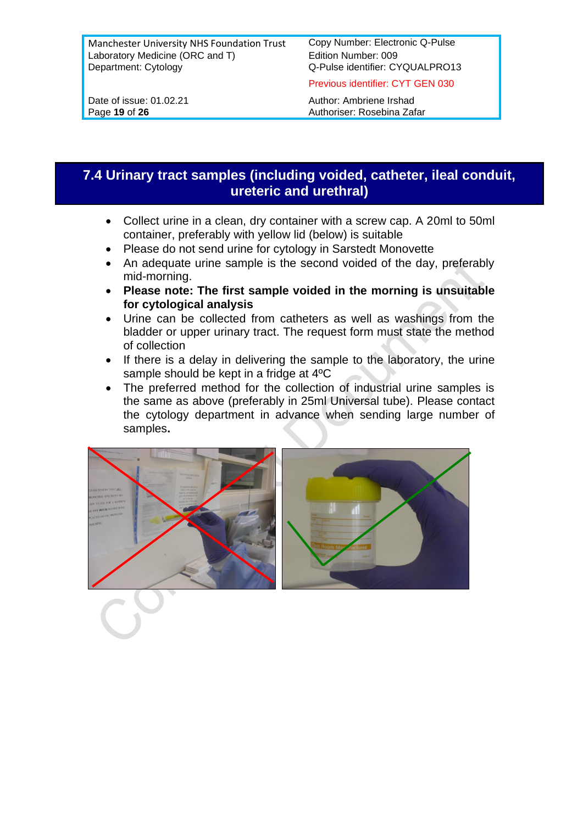Previous identifier: CYT GEN 030

Date of issue: 01.02.21 Author: Ambriene Irshad Page 19 of 26 **Authoriser:** Rosebina Zafar

### **7.4 Urinary tract samples (including voided, catheter, ileal conduit, ureteric and urethral)**

- Collect urine in a clean, dry container with a screw cap. A 20ml to 50ml container, preferably with yellow lid (below) is suitable
- Please do not send urine for cytology in Sarstedt Monovette
- An adequate urine sample is the second voided of the day, preferably mid-morning.
- **Please note: The first sample voided in the morning is unsuitable for cytological analysis**
- Urine can be collected from catheters as well as washings from the bladder or upper urinary tract. The request form must state the method of collection
- If there is a delay in delivering the sample to the laboratory, the urine sample should be kept in a fridge at 4ºC
- The preferred method for the collection of industrial urine samples is the same as above (preferably in 25ml Universal tube). Please contact the cytology department in advance when sending large number of samples**.**

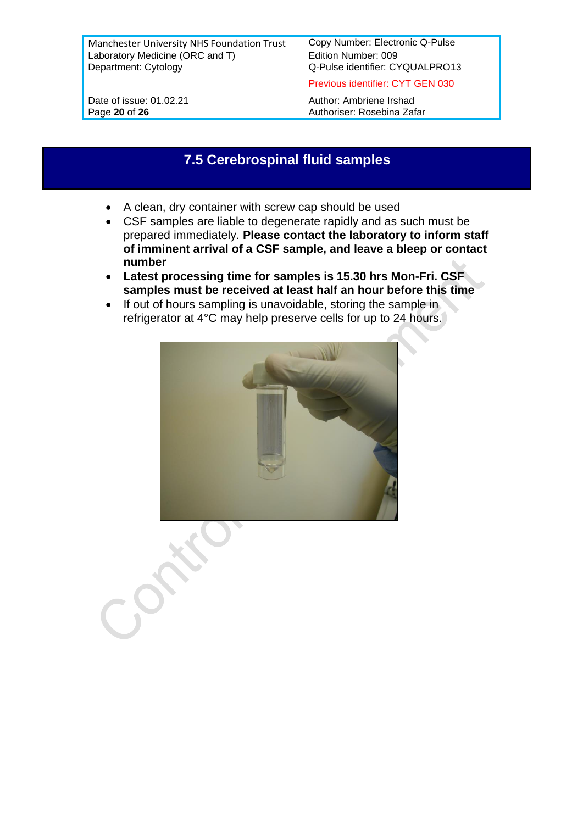Previous identifier: CYT GEN 030

Date of issue: 01.02.21 Author: Ambriene Irshad Page 20 of 26 **Authoriser:** Rosebina Zafar

#### **7.5 Cerebrospinal fluid samples**

- A clean, dry container with screw cap should be used
- CSF samples are liable to degenerate rapidly and as such must be prepared immediately. **Please contact the laboratory to inform staff of imminent arrival of a CSF sample, and leave a bleep or contact number**
- **Latest processing time for samples is 15.30 hrs Mon-Fri. CSF samples must be received at least half an hour before this time**
- If out of hours sampling is unavoidable, storing the sample in refrigerator at 4°C may help preserve cells for up to 24 hours.

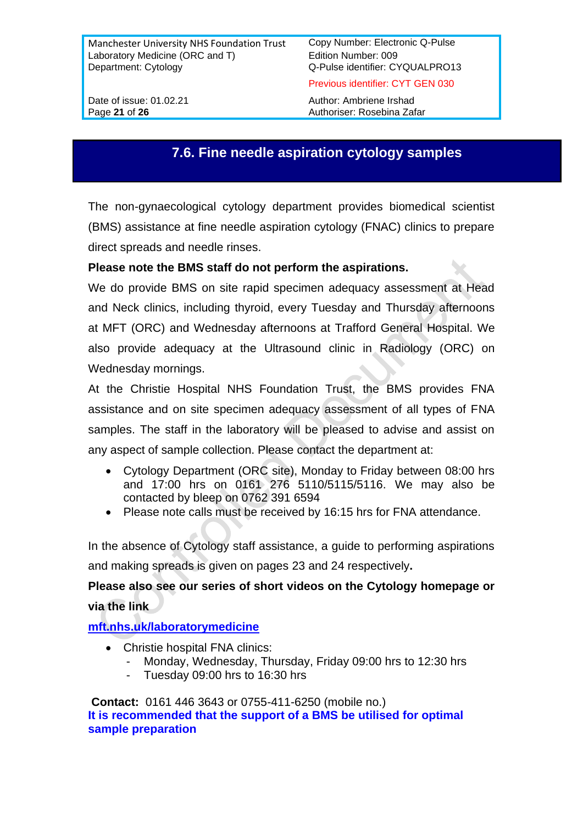Previous identifier: CYT GEN 030

Date of issue: 01.02.21 Author: Ambriene Irshad Page 21 of 26 **Authoriser:** Rosebina Zafar

#### **7.6. Fine needle aspiration cytology samples**

The non-gynaecological cytology department provides biomedical scientist (BMS) assistance at fine needle aspiration cytology (FNAC) clinics to prepare direct spreads and needle rinses.

#### **Please note the BMS staff do not perform the aspirations.**

We do provide BMS on site rapid specimen adequacy assessment at Head and Neck clinics, including thyroid, every Tuesday and Thursday afternoons at MFT (ORC) and Wednesday afternoons at Trafford General Hospital. We also provide adequacy at the Ultrasound clinic in Radiology (ORC) on Wednesday mornings.

At the Christie Hospital NHS Foundation Trust, the BMS provides FNA assistance and on site specimen adequacy assessment of all types of FNA samples. The staff in the laboratory will be pleased to advise and assist on any aspect of sample collection. Please contact the department at:

- Cytology Department (ORC site), Monday to Friday between 08:00 hrs and 17:00 hrs on 0161 276 5110/5115/5116. We may also be contacted by bleep on 0762 391 6594
- Please note calls must be received by 16:15 hrs for FNA attendance.

In the absence of Cytology staff assistance, a guide to performing aspirations and making spreads is given on pages 23 and 24 respectively**.**

#### **Please also see our series of short videos on the Cytology homepage or via the link**

#### **[mft.nhs.uk/laboratorymedicine](http://www.mft.nhs.uk/laboratorymedicine)**

- Christie hospital FNA clinics:
	- Monday, Wednesday, Thursday, Friday 09:00 hrs to 12:30 hrs
	- Tuesday 09:00 hrs to 16:30 hrs

**Contact:** 0161 446 3643 or 0755-411-6250 (mobile no.) **It is recommended that the support of a BMS be utilised for optimal sample preparation**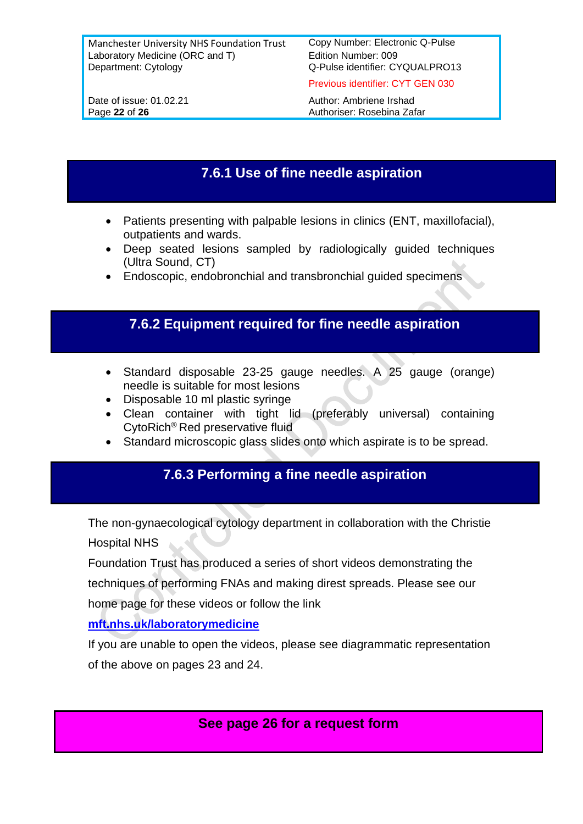Previous identifier: CYT GEN 030

Page 22 of 26 **Authoriser:** Rosebina Zafar

Date of issue: 01.02.21 Author: Ambriene Irshad

## **7.6.1 Use of fine needle aspiration**

- Patients presenting with palpable lesions in clinics (ENT, maxillofacial), outpatients and wards.
- Deep seated lesions sampled by radiologically guided techniques (Ultra Sound, CT)
- Endoscopic, endobronchial and transbronchial guided specimens

#### **7.6.2 Equipment required for fine needle aspiration**

- Standard disposable 23-25 gauge needles. A 25 gauge (orange) needle is suitable for most lesions
- Disposable 10 ml plastic syringe
- Clean container with tight lid (preferably universal) containing CytoRich® Red preservative fluid
- Standard microscopic glass slides onto which aspirate is to be spread.

### **7.6.3 Performing a fine needle aspiration**

The non-gynaecological cytology department in collaboration with the Christie Hospital NHS

Foundation Trust has produced a series of short videos demonstrating the techniques of performing FNAs and making direst spreads. Please see our

home page for these videos or follow the link

#### **[mft.nhs.uk/laboratorymedicine](http://www.mft.nhs.uk/laboratorymedicine)**

If you are unable to open the videos, please see diagrammatic representation of the above on pages 23 and 24.

**See page 26 for a request form**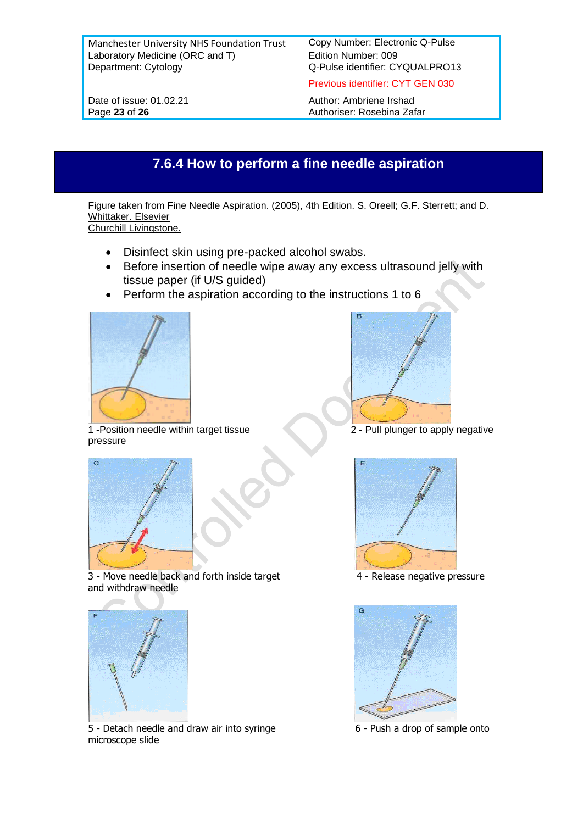Q-Pulse identifier: CYQUALPRO13

Previous identifier: CYT GEN 030

Date of issue: 01.02.21 Author: Ambriene Irshad<br>
Page 23 of 26 Authoriser: Rosebina Zaf Authoriser: Rosebina Zafar

## **7.6.4 How to perform a fine needle aspiration**

Figure taken from Fine Needle Aspiration. (2005), 4th Edition. S. Oreell; G.F. Sterrett; and D. Whittaker. Elsevier Churchill Livingstone.

- Disinfect skin using pre-packed alcohol swabs.
- Before insertion of needle wipe away any excess ultrasound jelly with tissue paper (if U/S guided)
- Perform the aspiration according to the instructions 1 to 6



1 -Position needle within target tissue 2 - Pull plunger to apply negative pressure







3 - Move needle back and forth inside target 4 - Release negative pressure and withdraw needle



5 - Detach needle and draw air into syringe 6 - 6 - Push a drop of sample onto microscope slide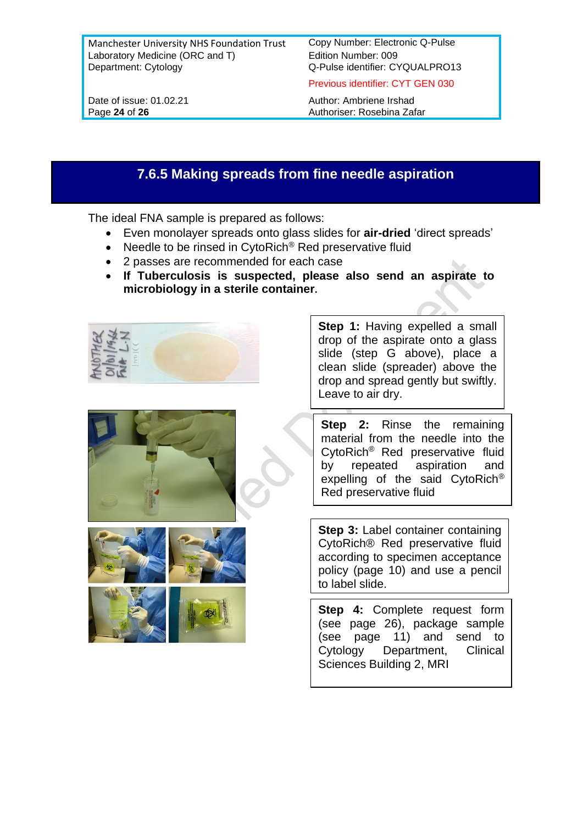Previous identifier: CYT GEN 030

Date of issue: 01.02.21 Author: Ambriene Irshad Page 24 of 26 **Authoriser:** Rosebina Zafar

### **7.6.5 Making spreads from fine needle aspiration**

The ideal FNA sample is prepared as follows:

- Even monolayer spreads onto glass slides for **air-dried** 'direct spreads'
- Needle to be rinsed in CytoRich® Red preservative fluid
- 2 passes are recommended for each case
- **If Tuberculosis is suspected, please also send an aspirate to microbiology in a sterile container.**









**Step 1:** Having expelled a small drop of the aspirate onto a glass slide (step G above), place a clean slide (spreader) above the drop and spread gently but swiftly. Leave to air dry.

**Step 2:** Rinse the remaining material from the needle into the CytoRich® Red preservative fluid by repeated aspiration and expelling of the said CytoRich® Red preservative fluid

**Step 3: Label container containing** CytoRich® Red preservative fluid according to specimen acceptance policy (page 10) and use a pencil to label slide.

 $\overline{\phantom{a}}$  and documentation of the documentation  $\overline{\phantom{a}}$ **Step 4:** Complete request form (see page 26), package sample (see page 11) and send to Cytology Department, Clinical Sciences Building 2, MRI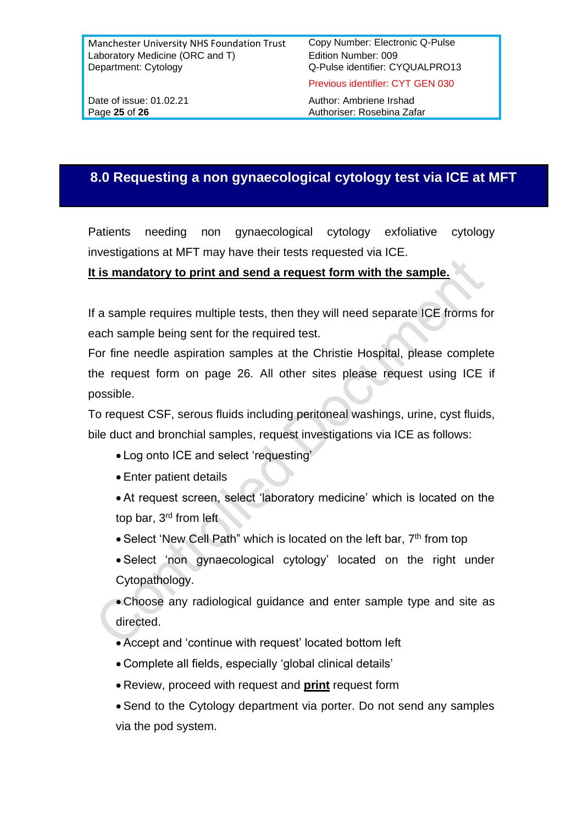Previous identifier: CYT GEN 030

Date of issue: 01.02.21 Author: Ambriene Irshad Page 25 of 26 **Authoriser:** Rosebina Zafar

#### **8.0 Requesting a non gynaecological cytology test via ICE at MFT**

Patients needing non gynaecological cytology exfoliative cytology investigations at MFT may have their tests requested via ICE.

#### **It is mandatory to print and send a request form with the sample.**

If a sample requires multiple tests, then they will need separate ICE frorms for each sample being sent for the required test.

For fine needle aspiration samples at the Christie Hospital, please complete the request form on page 26. All other sites please request using ICE if possible.

To request CSF, serous fluids including peritoneal washings, urine, cyst fluids, bile duct and bronchial samples, request investigations via ICE as follows:

- Log onto ICE and select 'requesting'
- Enter patient details
- At request screen, select 'laboratory medicine' which is located on the top bar, 3rd from left
- Select 'New Cell Path" which is located on the left bar, 7<sup>th</sup> from top
- Select 'non gynaecological cytology' located on the right under Cytopathology.

• Choose any radiological guidance and enter sample type and site as directed.

- Accept and 'continue with request' located bottom left
- Complete all fields, especially 'global clinical details'
- Review, proceed with request and **print** request form
- Send to the Cytology department via porter. Do not send any samples via the pod system.